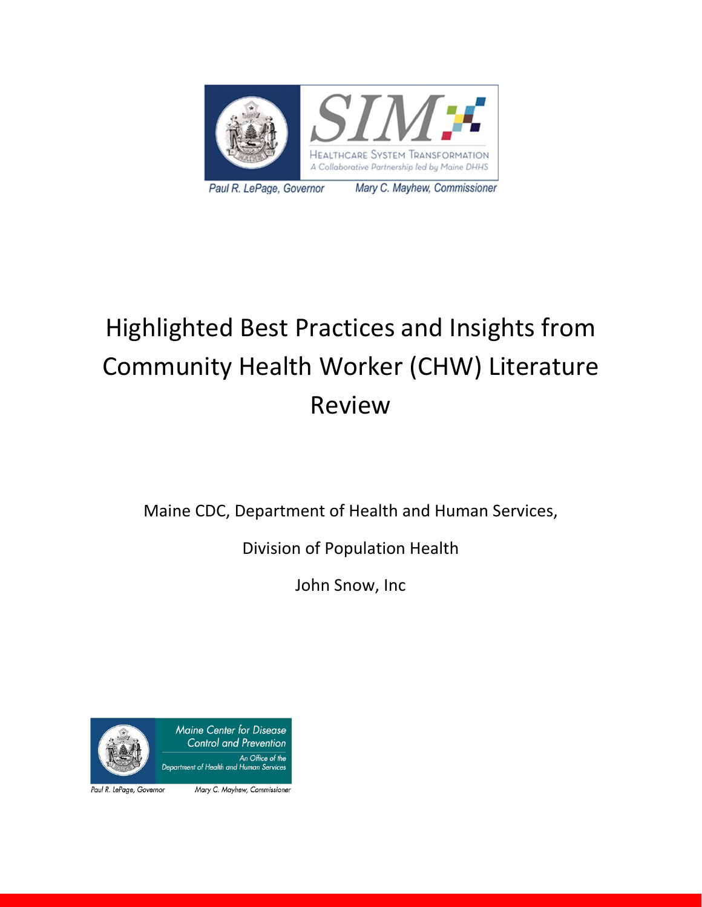

# Highlighted Best Practices and Insights from Community Health Worker (CHW) Literature Review

Maine CDC, Department of Health and Human Services,

Division of Population Health

John Snow, Inc



Paul R. LePage, Governor

Mary C. Mayhew, Commissioner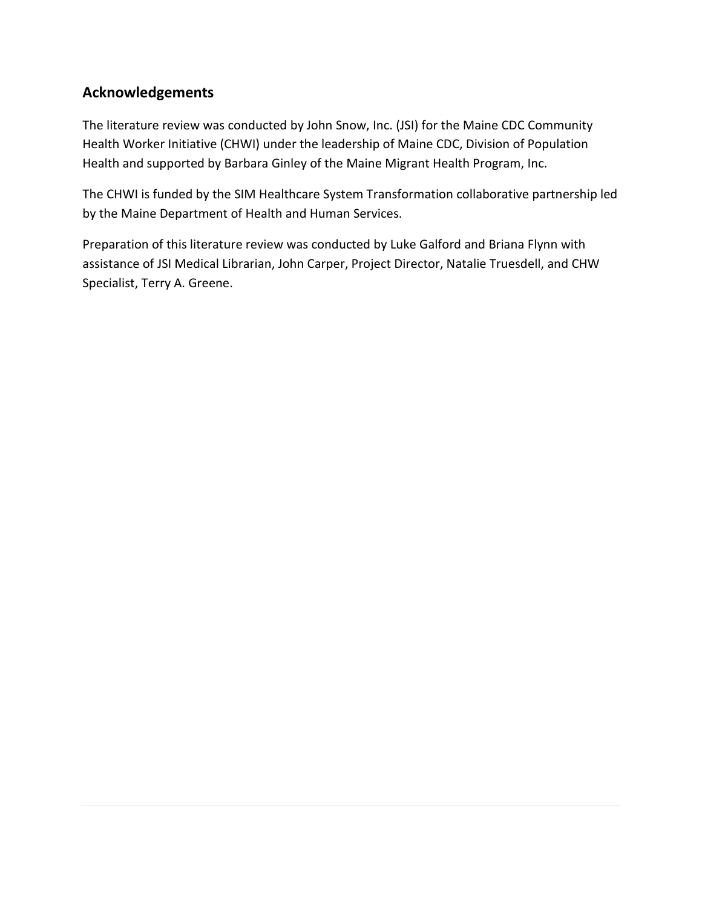### **Acknowledgements**

The literature review was conducted by John Snow, Inc. (JSI) for the Maine CDC Community Health Worker Initiative (CHWI) under the leadership of Maine CDC, Division of Population Health and supported by Barbara Ginley of the Maine Migrant Health Program, Inc.

The CHWI is funded by the SIM Healthcare System Transformation collaborative partnership led by the Maine Department of Health and Human Services.

Preparation of this literature review was conducted by Luke Galford and Briana Flynn with assistance of JSI Medical Librarian, John Carper, Project Director, Natalie Truesdell, and CHW Specialist, Terry A. Greene.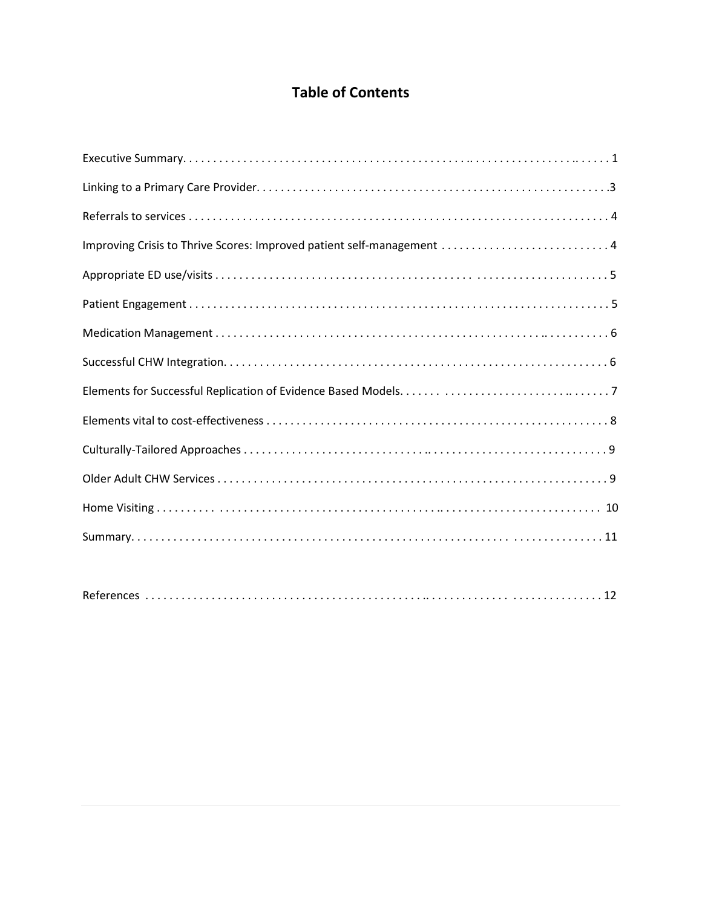# **Table of Contents**

|--|--|--|--|--|--|--|--|--|--|--|--|--|--|--|--|--|--|--|--|--|--|--|--|--|--|--|--|--|--|--|--|--|--|--|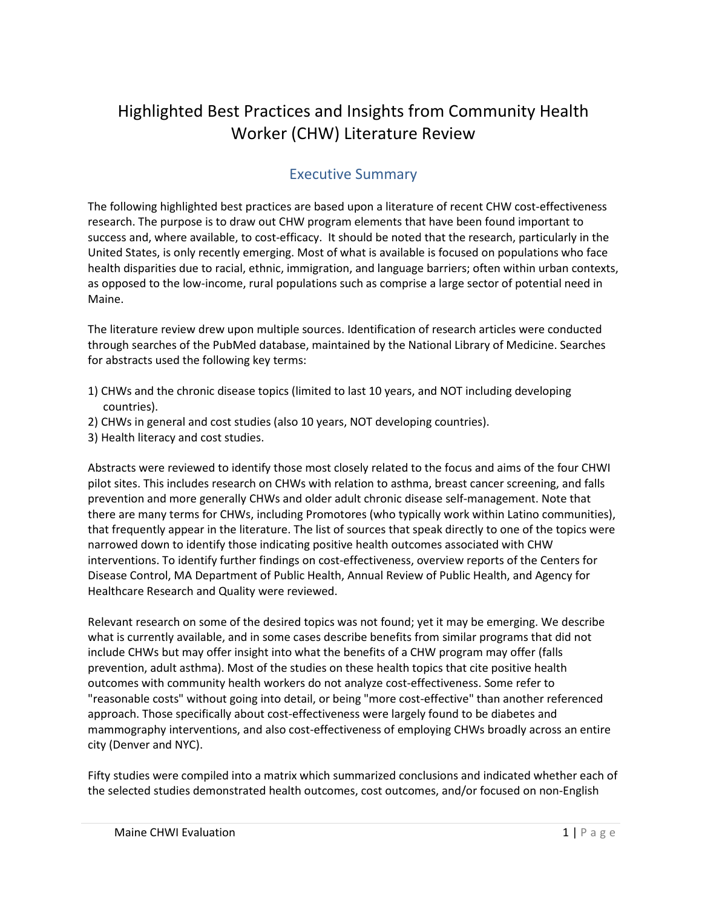# Highlighted Best Practices and Insights from Community Health Worker (CHW) Literature Review

## Executive Summary

The following highlighted best practices are based upon a literature of recent CHW cost-effectiveness research. The purpose is to draw out CHW program elements that have been found important to success and, where available, to cost-efficacy. It should be noted that the research, particularly in the United States, is only recently emerging. Most of what is available is focused on populations who face health disparities due to racial, ethnic, immigration, and language barriers; often within urban contexts, as opposed to the low-income, rural populations such as comprise a large sector of potential need in Maine.

The literature review drew upon multiple sources. Identification of research articles were conducted through searches of the PubMed database, maintained by the National Library of Medicine. Searches for abstracts used the following key terms:

- 1) CHWs and the chronic disease topics (limited to last 10 years, and NOT including developing countries).
- 2) CHWs in general and cost studies (also 10 years, NOT developing countries).
- 3) Health literacy and cost studies.

Abstracts were reviewed to identify those most closely related to the focus and aims of the four CHWI pilot sites. This includes research on CHWs with relation to asthma, breast cancer screening, and falls prevention and more generally CHWs and older adult chronic disease self-management. Note that there are many terms for CHWs, including Promotores (who typically work within Latino communities), that frequently appear in the literature. The list of sources that speak directly to one of the topics were narrowed down to identify those indicating positive health outcomes associated with CHW interventions. To identify further findings on cost-effectiveness, overview reports of the Centers for Disease Control, MA Department of Public Health, Annual Review of Public Health, and Agency for Healthcare Research and Quality were reviewed.

Relevant research on some of the desired topics was not found; yet it may be emerging. We describe what is currently available, and in some cases describe benefits from similar programs that did not include CHWs but may offer insight into what the benefits of a CHW program may offer (falls prevention, adult asthma). Most of the studies on these health topics that cite positive health outcomes with community health workers do not analyze cost-effectiveness. Some refer to "reasonable costs" without going into detail, or being "more cost-effective" than another referenced approach. Those specifically about cost-effectiveness were largely found to be diabetes and mammography interventions, and also cost-effectiveness of employing CHWs broadly across an entire city (Denver and NYC).

Fifty studies were compiled into a matrix which summarized conclusions and indicated whether each of the selected studies demonstrated health outcomes, cost outcomes, and/or focused on non-English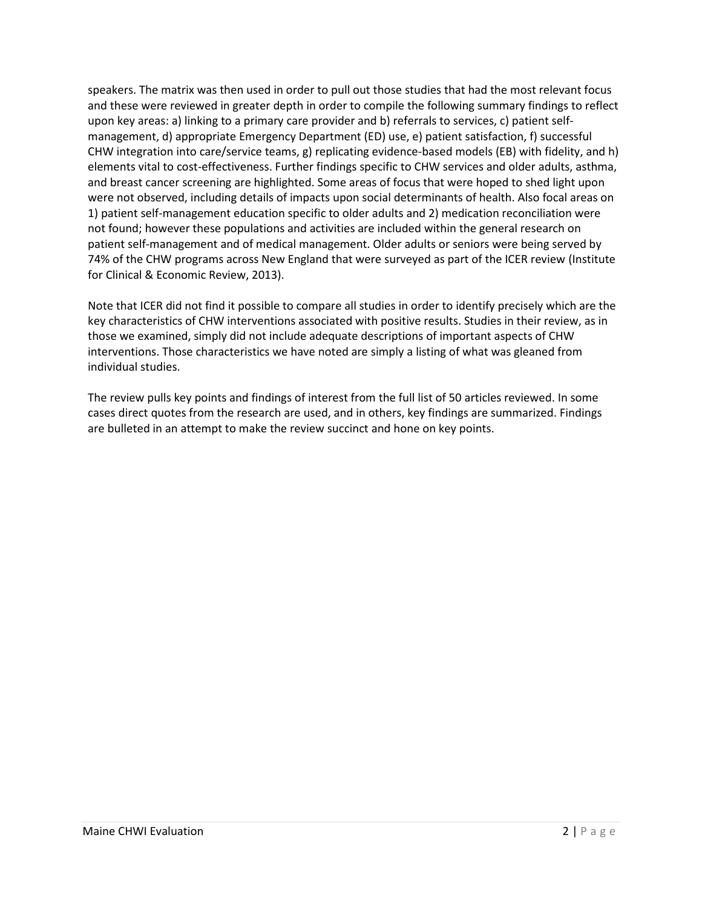speakers. The matrix was then used in order to pull out those studies that had the most relevant focus and these were reviewed in greater depth in order to compile the following summary findings to reflect upon key areas: a) linking to a primary care provider and b) referrals to services, c) patient selfmanagement, d) appropriate Emergency Department (ED) use, e) patient satisfaction, f) successful CHW integration into care/service teams, g) replicating evidence-based models (EB) with fidelity, and h) elements vital to cost-effectiveness. Further findings specific to CHW services and older adults, asthma, and breast cancer screening are highlighted. Some areas of focus that were hoped to shed light upon were not observed, including details of impacts upon social determinants of health. Also focal areas on 1) patient self-management education specific to older adults and 2) medication reconciliation were not found; however these populations and activities are included within the general research on patient self-management and of medical management. Older adults or seniors were being served by 74% of the CHW programs across New England that were surveyed as part of the ICER review (Institute for Clinical & Economic Review, 2013).

Note that ICER did not find it possible to compare all studies in order to identify precisely which are the key characteristics of CHW interventions associated with positive results. Studies in their review, as in those we examined, simply did not include adequate descriptions of important aspects of CHW interventions. Those characteristics we have noted are simply a listing of what was gleaned from individual studies.

The review pulls key points and findings of interest from the full list of 50 articles reviewed. In some cases direct quotes from the research are used, and in others, key findings are summarized. Findings are bulleted in an attempt to make the review succinct and hone on key points.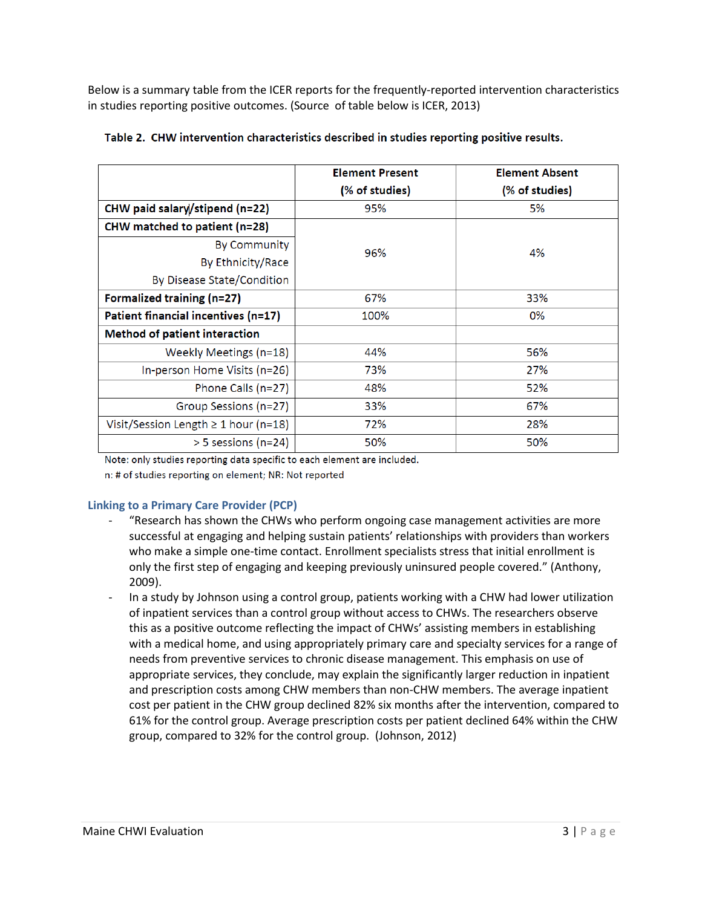Below is a summary table from the ICER reports for the frequently-reported intervention characteristics in studies reporting positive outcomes. (Source of table below is ICER, 2013)

|                                           | <b>Element Present</b> | <b>Element Absent</b> |
|-------------------------------------------|------------------------|-----------------------|
|                                           | (% of studies)         | (% of studies)        |
| CHW paid salary/stipend (n=22)            | 95%                    | 5%                    |
| CHW matched to patient (n=28)             |                        |                       |
| By Community                              | 96%                    | 4%                    |
| By Ethnicity/Race                         |                        |                       |
| By Disease State/Condition                |                        |                       |
| <b>Formalized training (n=27)</b>         | 67%                    | 33%                   |
| Patient financial incentives (n=17)       | 100%                   | 0%                    |
| <b>Method of patient interaction</b>      |                        |                       |
| Weekly Meetings (n=18)                    | 44%                    | 56%                   |
| In-person Home Visits (n=26)              | 73%                    | 27%                   |
| Phone Calls (n=27)                        | 48%                    | 52%                   |
| Group Sessions (n=27)                     | 33%                    | 67%                   |
| Visit/Session Length $\geq 1$ hour (n=18) | 72%                    | 28%                   |
| $> 5$ sessions (n=24)                     | 50%                    | 50%                   |

|  |  | Table 2. CHW intervention characteristics described in studies reporting positive results. |  |  |  |  |  |
|--|--|--------------------------------------------------------------------------------------------|--|--|--|--|--|
|--|--|--------------------------------------------------------------------------------------------|--|--|--|--|--|

Note: only studies reporting data specific to each element are included.

n: # of studies reporting on element; NR: Not reported

#### **Linking to a Primary Care Provider (PCP)**

- "Research has shown the CHWs who perform ongoing case management activities are more successful at engaging and helping sustain patients' relationships with providers than workers who make a simple one-time contact. Enrollment specialists stress that initial enrollment is only the first step of engaging and keeping previously uninsured people covered." (Anthony, 2009).
- In a study by Johnson using a control group, patients working with a CHW had lower utilization of inpatient services than a control group without access to CHWs. The researchers observe this as a positive outcome reflecting the impact of CHWs' assisting members in establishing with a medical home, and using appropriately primary care and specialty services for a range of needs from preventive services to chronic disease management. This emphasis on use of appropriate services, they conclude, may explain the significantly larger reduction in inpatient and prescription costs among CHW members than non-CHW members. The average inpatient cost per patient in the CHW group declined 82% six months after the intervention, compared to 61% for the control group. Average prescription costs per patient declined 64% within the CHW group, compared to 32% for the control group. (Johnson, 2012)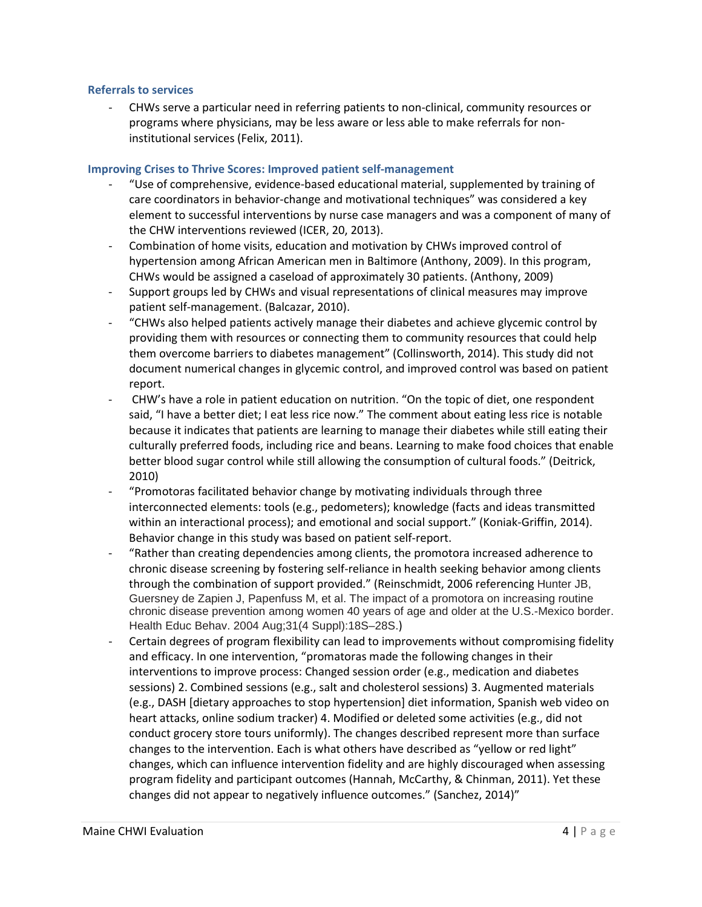#### **Referrals to services**

- CHWs serve a particular need in referring patients to non-clinical, community resources or programs where physicians, may be less aware or less able to make referrals for noninstitutional services (Felix, 2011).

#### **Improving Crises to Thrive Scores: Improved patient self-management**

- "Use of comprehensive, evidence-based educational material, supplemented by training of care coordinators in behavior-change and motivational techniques" was considered a key element to successful interventions by nurse case managers and was a component of many of the CHW interventions reviewed (ICER, 20, 2013).
- Combination of home visits, education and motivation by CHWs improved control of hypertension among African American men in Baltimore (Anthony, 2009). In this program, CHWs would be assigned a caseload of approximately 30 patients. (Anthony, 2009)
- Support groups led by CHWs and visual representations of clinical measures may improve patient self-management. (Balcazar, 2010).
- "CHWs also helped patients actively manage their diabetes and achieve glycemic control by providing them with resources or connecting them to community resources that could help them overcome barriers to diabetes management" (Collinsworth, 2014). This study did not document numerical changes in glycemic control, and improved control was based on patient report.
- CHW's have a role in patient education on nutrition. "On the topic of diet, one respondent said, "I have a better diet; I eat less rice now." The comment about eating less rice is notable because it indicates that patients are learning to manage their diabetes while still eating their culturally preferred foods, including rice and beans. Learning to make food choices that enable better blood sugar control while still allowing the consumption of cultural foods." (Deitrick, 2010)
- "Promotoras facilitated behavior change by motivating individuals through three interconnected elements: tools (e.g., pedometers); knowledge (facts and ideas transmitted within an interactional process); and emotional and social support." (Koniak-Griffin, 2014). Behavior change in this study was based on patient self-report.
- "Rather than creating dependencies among clients, the promotora increased adherence to chronic disease screening by fostering self-reliance in health seeking behavior among clients through the combination of support provided." (Reinschmidt, 2006 referencing Hunter JB, Guersney de Zapien J, Papenfuss M, et al. The impact of a promotora on increasing routine chronic disease prevention among women 40 years of age and older at the U.S.-Mexico border. Health Educ Behav. 2004 Aug;31(4 Suppl):18S–28S.)
- Certain degrees of program flexibility can lead to improvements without compromising fidelity and efficacy. In one intervention, "promatoras made the following changes in their interventions to improve process: Changed session order (e.g., medication and diabetes sessions) 2. Combined sessions (e.g., salt and cholesterol sessions) 3. Augmented materials (e.g., DASH [dietary approaches to stop hypertension] diet information, Spanish web video on heart attacks, online sodium tracker) 4. Modified or deleted some activities (e.g., did not conduct grocery store tours uniformly). The changes described represent more than surface changes to the intervention. Each is what others have described as "yellow or red light" changes, which can influence intervention fidelity and are highly discouraged when assessing program fidelity and participant outcomes (Hannah, McCarthy, & Chinman, 2011). Yet these changes did not appear to negatively influence outcomes." (Sanchez, 2014)"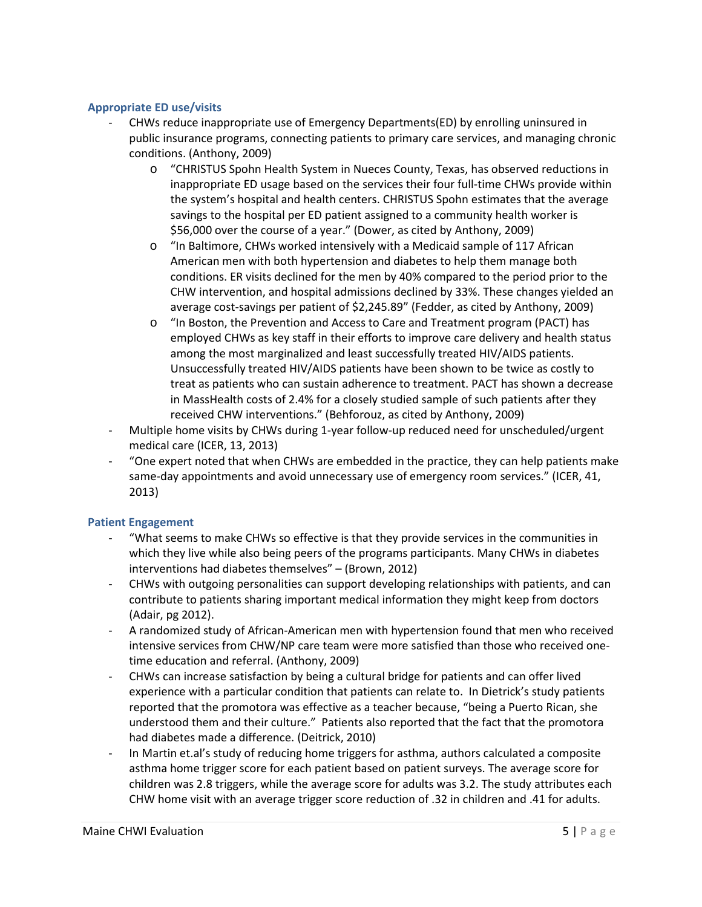#### **Appropriate ED use/visits**

- CHWs reduce inappropriate use of Emergency Departments(ED) by enrolling uninsured in public insurance programs, connecting patients to primary care services, and managing chronic conditions. (Anthony, 2009)
	- o "CHRISTUS Spohn Health System in Nueces County, Texas, has observed reductions in inappropriate ED usage based on the services their four full-time CHWs provide within the system's hospital and health centers. CHRISTUS Spohn estimates that the average savings to the hospital per ED patient assigned to a community health worker is \$56,000 over the course of a year." (Dower, as cited by Anthony, 2009)
	- o "In Baltimore, CHWs worked intensively with a Medicaid sample of 117 African American men with both hypertension and diabetes to help them manage both conditions. ER visits declined for the men by 40% compared to the period prior to the CHW intervention, and hospital admissions declined by 33%. These changes yielded an average cost-savings per patient of \$2,245.89" (Fedder, as cited by Anthony, 2009)
	- o "In Boston, the Prevention and Access to Care and Treatment program (PACT) has employed CHWs as key staff in their efforts to improve care delivery and health status among the most marginalized and least successfully treated HIV/AIDS patients. Unsuccessfully treated HIV/AIDS patients have been shown to be twice as costly to treat as patients who can sustain adherence to treatment. PACT has shown a decrease in MassHealth costs of 2.4% for a closely studied sample of such patients after they received CHW interventions." (Behforouz, as cited by Anthony, 2009)
- Multiple home visits by CHWs during 1-year follow-up reduced need for unscheduled/urgent medical care (ICER, 13, 2013)
- "One expert noted that when CHWs are embedded in the practice, they can help patients make same-day appointments and avoid unnecessary use of emergency room services." (ICER, 41, 2013)

#### **Patient Engagement**

- "What seems to make CHWs so effective is that they provide services in the communities in which they live while also being peers of the programs participants. Many CHWs in diabetes interventions had diabetes themselves" – (Brown, 2012)
- CHWs with outgoing personalities can support developing relationships with patients, and can contribute to patients sharing important medical information they might keep from doctors (Adair, pg 2012).
- A randomized study of African-American men with hypertension found that men who received intensive services from CHW/NP care team were more satisfied than those who received onetime education and referral. (Anthony, 2009)
- CHWs can increase satisfaction by being a cultural bridge for patients and can offer lived experience with a particular condition that patients can relate to. In Dietrick's study patients reported that the promotora was effective as a teacher because, "being a Puerto Rican, she understood them and their culture." Patients also reported that the fact that the promotora had diabetes made a difference. (Deitrick, 2010)
- In Martin et.al's study of reducing home triggers for asthma, authors calculated a composite asthma home trigger score for each patient based on patient surveys. The average score for children was 2.8 triggers, while the average score for adults was 3.2. The study attributes each CHW home visit with an average trigger score reduction of .32 in children and .41 for adults.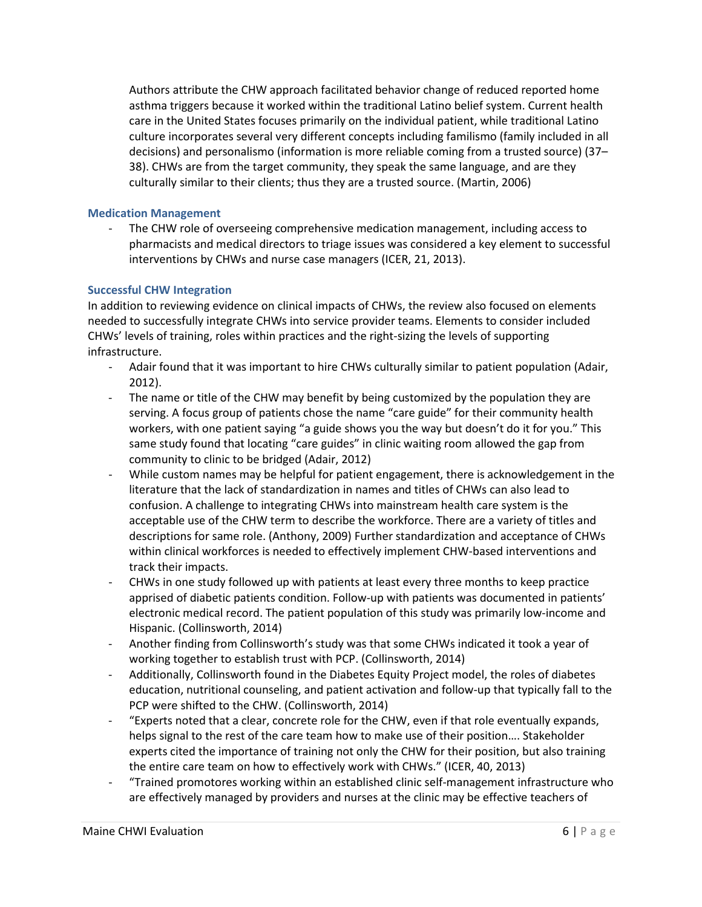Authors attribute the CHW approach facilitated behavior change of reduced reported home asthma triggers because it worked within the traditional Latino belief system. Current health care in the United States focuses primarily on the individual patient, while traditional Latino culture incorporates several very different concepts including familismo (family included in all decisions) and personalismo (information is more reliable coming from a trusted source) (37– 38). CHWs are from the target community, they speak the same language, and are they culturally similar to their clients; thus they are a trusted source. (Martin, 2006)

#### **Medication Management**

- The CHW role of overseeing comprehensive medication management, including access to pharmacists and medical directors to triage issues was considered a key element to successful interventions by CHWs and nurse case managers (ICER, 21, 2013).

#### **Successful CHW Integration**

In addition to reviewing evidence on clinical impacts of CHWs, the review also focused on elements needed to successfully integrate CHWs into service provider teams. Elements to consider included CHWs' levels of training, roles within practices and the right-sizing the levels of supporting infrastructure.

- Adair found that it was important to hire CHWs culturally similar to patient population (Adair, 2012).
- The name or title of the CHW may benefit by being customized by the population they are serving. A focus group of patients chose the name "care guide" for their community health workers, with one patient saying "a guide shows you the way but doesn't do it for you." This same study found that locating "care guides" in clinic waiting room allowed the gap from community to clinic to be bridged (Adair, 2012)
- While custom names may be helpful for patient engagement, there is acknowledgement in the literature that the lack of standardization in names and titles of CHWs can also lead to confusion. A challenge to integrating CHWs into mainstream health care system is the acceptable use of the CHW term to describe the workforce. There are a variety of titles and descriptions for same role. (Anthony, 2009) Further standardization and acceptance of CHWs within clinical workforces is needed to effectively implement CHW-based interventions and track their impacts.
- CHWs in one study followed up with patients at least every three months to keep practice apprised of diabetic patients condition. Follow-up with patients was documented in patients' electronic medical record. The patient population of this study was primarily low-income and Hispanic. (Collinsworth, 2014)
- Another finding from Collinsworth's study was that some CHWs indicated it took a year of working together to establish trust with PCP. (Collinsworth, 2014)
- Additionally, Collinsworth found in the Diabetes Equity Project model, the roles of diabetes education, nutritional counseling, and patient activation and follow-up that typically fall to the PCP were shifted to the CHW. (Collinsworth, 2014)
- "Experts noted that a clear, concrete role for the CHW, even if that role eventually expands, helps signal to the rest of the care team how to make use of their position…. Stakeholder experts cited the importance of training not only the CHW for their position, but also training the entire care team on how to effectively work with CHWs." (ICER, 40, 2013)
- "Trained promotores working within an established clinic self-management infrastructure who are effectively managed by providers and nurses at the clinic may be effective teachers of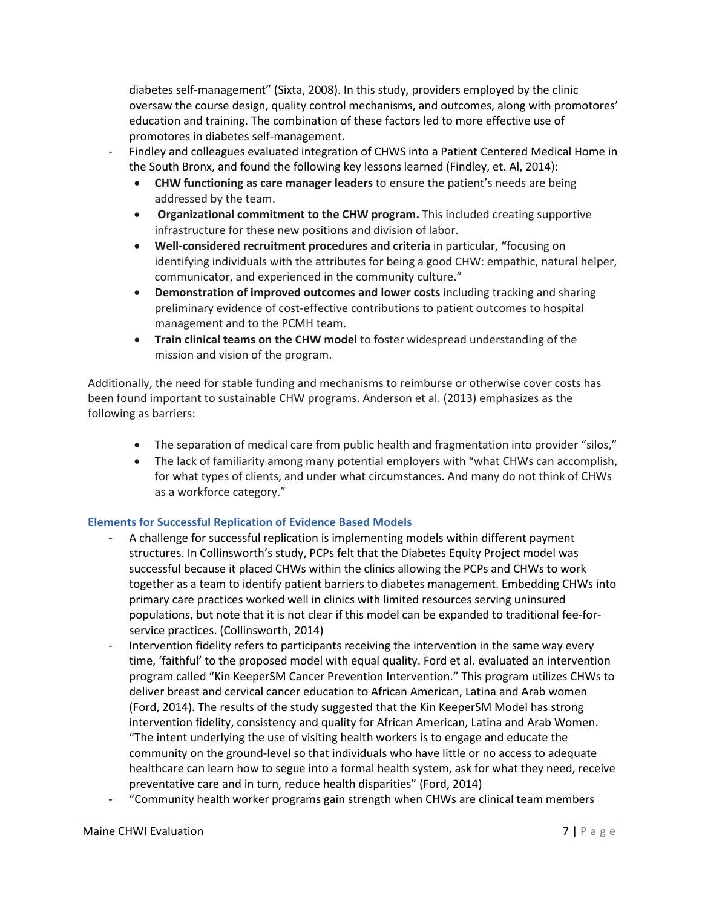diabetes self-management" (Sixta, 2008). In this study, providers employed by the clinic oversaw the course design, quality control mechanisms, and outcomes, along with promotores' education and training. The combination of these factors led to more effective use of promotores in diabetes self-management.

- Findley and colleagues evaluated integration of CHWS into a Patient Centered Medical Home in the South Bronx, and found the following key lessons learned (Findley, et. Al, 2014):
	- **CHW functioning as care manager leaders** to ensure the patient's needs are being addressed by the team.
	- **Organizational commitment to the CHW program.** This included creating supportive infrastructure for these new positions and division of labor.
	- **Well-considered recruitment procedures and criteria** in particular, **"**focusing on identifying individuals with the attributes for being a good CHW: empathic, natural helper, communicator, and experienced in the community culture."
	- **Demonstration of improved outcomes and lower costs** including tracking and sharing preliminary evidence of cost-effective contributions to patient outcomes to hospital management and to the PCMH team.
	- **Train clinical teams on the CHW model** to foster widespread understanding of the mission and vision of the program.

Additionally, the need for stable funding and mechanisms to reimburse or otherwise cover costs has been found important to sustainable CHW programs. Anderson et al. (2013) emphasizes as the following as barriers:

- The separation of medical care from public health and fragmentation into provider "silos,"
- The lack of familiarity among many potential employers with "what CHWs can accomplish, for what types of clients, and under what circumstances. And many do not think of CHWs as a workforce category."

#### **Elements for Successful Replication of Evidence Based Models**

- A challenge for successful replication is implementing models within different payment structures. In Collinsworth's study, PCPs felt that the Diabetes Equity Project model was successful because it placed CHWs within the clinics allowing the PCPs and CHWs to work together as a team to identify patient barriers to diabetes management. Embedding CHWs into primary care practices worked well in clinics with limited resources serving uninsured populations, but note that it is not clear if this model can be expanded to traditional fee-forservice practices. (Collinsworth, 2014)
- Intervention fidelity refers to participants receiving the intervention in the same way every time, 'faithful' to the proposed model with equal quality. Ford et al. evaluated an intervention program called "Kin KeeperSM Cancer Prevention Intervention." This program utilizes CHWs to deliver breast and cervical cancer education to African American, Latina and Arab women (Ford, 2014). The results of the study suggested that the Kin KeeperSM Model has strong intervention fidelity, consistency and quality for African American, Latina and Arab Women. "The intent underlying the use of visiting health workers is to engage and educate the community on the ground-level so that individuals who have little or no access to adequate healthcare can learn how to segue into a formal health system, ask for what they need, receive preventative care and in turn, reduce health disparities" (Ford, 2014)
- "Community health worker programs gain strength when CHWs are clinical team members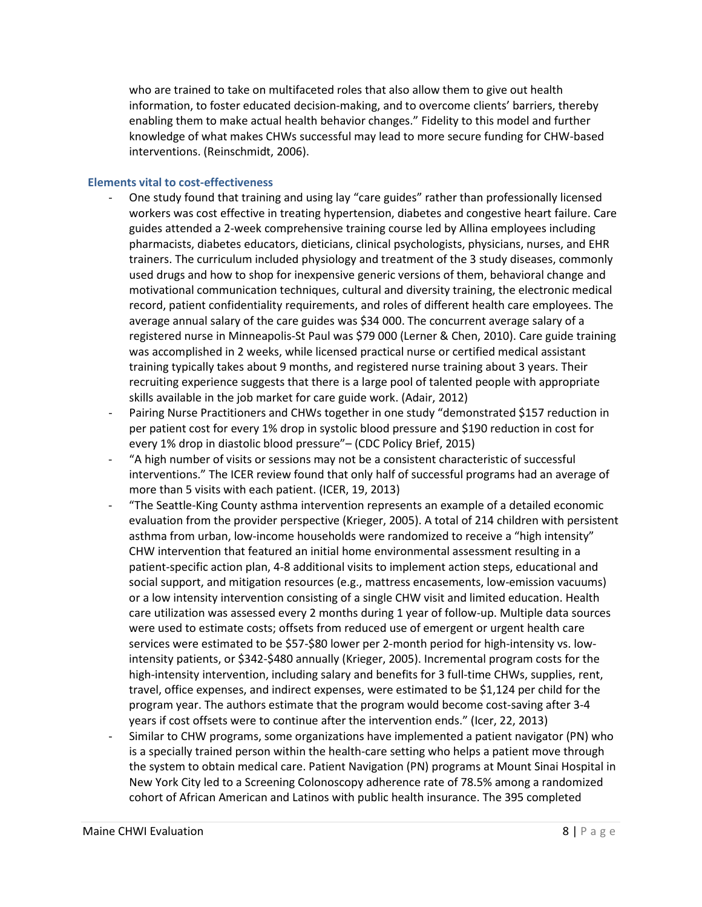who are trained to take on multifaceted roles that also allow them to give out health information, to foster educated decision-making, and to overcome clients' barriers, thereby enabling them to make actual health behavior changes." Fidelity to this model and further knowledge of what makes CHWs successful may lead to more secure funding for CHW-based interventions. (Reinschmidt, 2006).

#### **Elements vital to cost-effectiveness**

- One study found that training and using lay "care guides" rather than professionally licensed workers was cost effective in treating hypertension, diabetes and congestive heart failure. Care guides attended a 2-week comprehensive training course led by Allina employees including pharmacists, diabetes educators, dieticians, clinical psychologists, physicians, nurses, and EHR trainers. The curriculum included physiology and treatment of the 3 study diseases, commonly used drugs and how to shop for inexpensive generic versions of them, behavioral change and motivational communication techniques, cultural and diversity training, the electronic medical record, patient confidentiality requirements, and roles of different health care employees. The average annual salary of the care guides was \$34 000. The concurrent average salary of a registered nurse in Minneapolis-St Paul was \$79 000 (Lerner & Chen, 2010). Care guide training was accomplished in 2 weeks, while licensed practical nurse or certified medical assistant training typically takes about 9 months, and registered nurse training about 3 years. Their recruiting experience suggests that there is a large pool of talented people with appropriate skills available in the job market for care guide work. (Adair, 2012)
- Pairing Nurse Practitioners and CHWs together in one study "demonstrated \$157 reduction in per patient cost for every 1% drop in systolic blood pressure and \$190 reduction in cost for every 1% drop in diastolic blood pressure"– (CDC Policy Brief, 2015)
- "A high number of visits or sessions may not be a consistent characteristic of successful interventions." The ICER review found that only half of successful programs had an average of more than 5 visits with each patient. (ICER, 19, 2013)
- "The Seattle-King County asthma intervention represents an example of a detailed economic evaluation from the provider perspective (Krieger, 2005). A total of 214 children with persistent asthma from urban, low-income households were randomized to receive a "high intensity" CHW intervention that featured an initial home environmental assessment resulting in a patient-specific action plan, 4-8 additional visits to implement action steps, educational and social support, and mitigation resources (e.g., mattress encasements, low-emission vacuums) or a low intensity intervention consisting of a single CHW visit and limited education. Health care utilization was assessed every 2 months during 1 year of follow-up. Multiple data sources were used to estimate costs; offsets from reduced use of emergent or urgent health care services were estimated to be \$57-\$80 lower per 2-month period for high-intensity vs. lowintensity patients, or \$342-\$480 annually (Krieger, 2005). Incremental program costs for the high-intensity intervention, including salary and benefits for 3 full-time CHWs, supplies, rent, travel, office expenses, and indirect expenses, were estimated to be \$1,124 per child for the program year. The authors estimate that the program would become cost-saving after 3-4 years if cost offsets were to continue after the intervention ends." (Icer, 22, 2013)
- Similar to CHW programs, some organizations have implemented a patient navigator (PN) who is a specially trained person within the health-care setting who helps a patient move through the system to obtain medical care. Patient Navigation (PN) programs at Mount Sinai Hospital in New York City led to a Screening Colonoscopy adherence rate of 78.5% among a randomized cohort of African American and Latinos with public health insurance. The 395 completed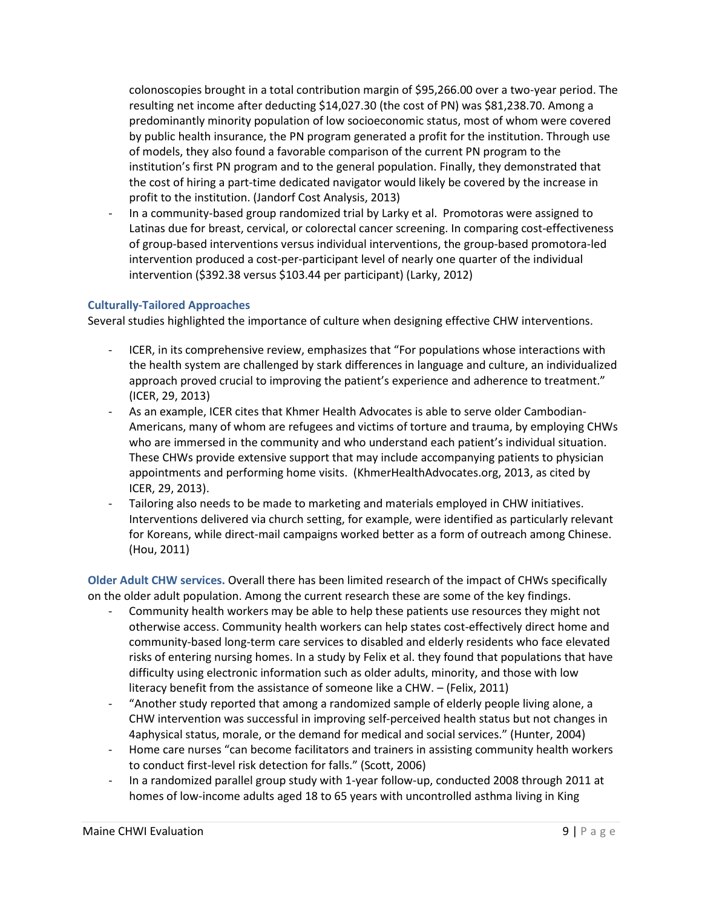colonoscopies brought in a total contribution margin of \$95,266.00 over a two-year period. The resulting net income after deducting \$14,027.30 (the cost of PN) was \$81,238.70. Among a predominantly minority population of low socioeconomic status, most of whom were covered by public health insurance, the PN program generated a profit for the institution. Through use of models, they also found a favorable comparison of the current PN program to the institution's first PN program and to the general population. Finally, they demonstrated that the cost of hiring a part-time dedicated navigator would likely be covered by the increase in profit to the institution. (Jandorf Cost Analysis, 2013)

- In a community-based group randomized trial by Larky et al. Promotoras were assigned to Latinas due for breast, cervical, or colorectal cancer screening. In comparing cost-effectiveness of group-based interventions versus individual interventions, the group-based promotora-led intervention produced a cost-per-participant level of nearly one quarter of the individual intervention (\$392.38 versus \$103.44 per participant) (Larky, 2012)

#### **Culturally-Tailored Approaches**

Several studies highlighted the importance of culture when designing effective CHW interventions.

- ICER, in its comprehensive review, emphasizes that "For populations whose interactions with the health system are challenged by stark differences in language and culture, an individualized approach proved crucial to improving the patient's experience and adherence to treatment." (ICER, 29, 2013)
- As an example, ICER cites that Khmer Health Advocates is able to serve older Cambodian-Americans, many of whom are refugees and victims of torture and trauma, by employing CHWs who are immersed in the community and who understand each patient's individual situation. These CHWs provide extensive support that may include accompanying patients to physician appointments and performing home visits. (KhmerHealthAdvocates.org, 2013, as cited by ICER, 29, 2013).
- Tailoring also needs to be made to marketing and materials employed in CHW initiatives. Interventions delivered via church setting, for example, were identified as particularly relevant for Koreans, while direct-mail campaigns worked better as a form of outreach among Chinese. (Hou, 2011)

**Older Adult CHW services.** Overall there has been limited research of the impact of CHWs specifically on the older adult population. Among the current research these are some of the key findings.

- Community health workers may be able to help these patients use resources they might not otherwise access. Community health workers can help states cost-effectively direct home and community-based long-term care services to disabled and elderly residents who face elevated risks of entering nursing homes. In a study by Felix et al. they found that populations that have difficulty using electronic information such as older adults, minority, and those with low literacy benefit from the assistance of someone like a CHW. – (Felix, 2011)
- "Another study reported that among a randomized sample of elderly people living alone, a CHW intervention was successful in improving self-perceived health status but not changes in 4aphysical status, morale, or the demand for medical and social services." (Hunter, 2004)
- Home care nurses "can become facilitators and trainers in assisting community health workers to conduct first-level risk detection for falls." (Scott, 2006)
- In a randomized parallel group study with 1-year follow-up, conducted 2008 through 2011 at homes of low-income adults aged 18 to 65 years with uncontrolled asthma living in King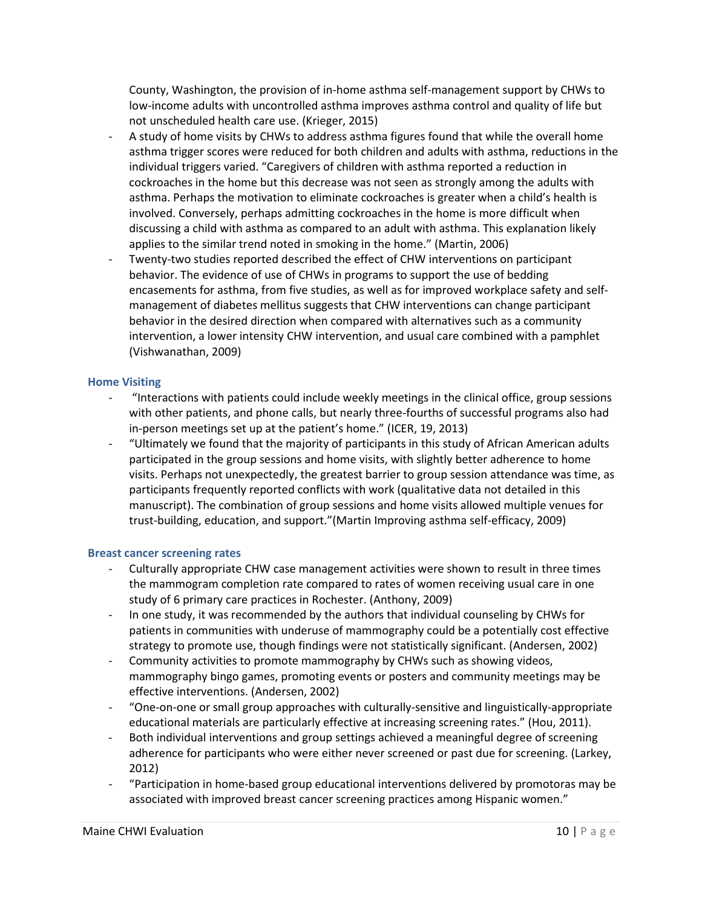County, Washington, the provision of in-home asthma self-management support by CHWs to low-income adults with uncontrolled asthma improves asthma control and quality of life but not unscheduled health care use. (Krieger, 2015)

- A study of home visits by CHWs to address asthma figures found that while the overall home asthma trigger scores were reduced for both children and adults with asthma, reductions in the individual triggers varied. "Caregivers of children with asthma reported a reduction in cockroaches in the home but this decrease was not seen as strongly among the adults with asthma. Perhaps the motivation to eliminate cockroaches is greater when a child's health is involved. Conversely, perhaps admitting cockroaches in the home is more difficult when discussing a child with asthma as compared to an adult with asthma. This explanation likely applies to the similar trend noted in smoking in the home." (Martin, 2006)
- Twenty-two studies reported described the effect of CHW interventions on participant behavior. The evidence of use of CHWs in programs to support the use of bedding encasements for asthma, from five studies, as well as for improved workplace safety and selfmanagement of diabetes mellitus suggests that CHW interventions can change participant behavior in the desired direction when compared with alternatives such as a community intervention, a lower intensity CHW intervention, and usual care combined with a pamphlet (Vishwanathan, 2009)

#### **Home Visiting**

- "Interactions with patients could include weekly meetings in the clinical office, group sessions with other patients, and phone calls, but nearly three-fourths of successful programs also had in-person meetings set up at the patient's home." (ICER, 19, 2013)
- "Ultimately we found that the majority of participants in this study of African American adults participated in the group sessions and home visits, with slightly better adherence to home visits. Perhaps not unexpectedly, the greatest barrier to group session attendance was time, as participants frequently reported conflicts with work (qualitative data not detailed in this manuscript). The combination of group sessions and home visits allowed multiple venues for trust-building, education, and support."(Martin Improving asthma self-efficacy, 2009)

#### **Breast cancer screening rates**

- Culturally appropriate CHW case management activities were shown to result in three times the mammogram completion rate compared to rates of women receiving usual care in one study of 6 primary care practices in Rochester. (Anthony, 2009)
- In one study, it was recommended by the authors that individual counseling by CHWs for patients in communities with underuse of mammography could be a potentially cost effective strategy to promote use, though findings were not statistically significant. (Andersen, 2002)
- Community activities to promote mammography by CHWs such as showing videos, mammography bingo games, promoting events or posters and community meetings may be effective interventions. (Andersen, 2002)
- "One-on-one or small group approaches with culturally-sensitive and linguistically-appropriate educational materials are particularly effective at increasing screening rates." (Hou, 2011).
- Both individual interventions and group settings achieved a meaningful degree of screening adherence for participants who were either never screened or past due for screening. (Larkey, 2012)
- "Participation in home-based group educational interventions delivered by promotoras may be associated with improved breast cancer screening practices among Hispanic women."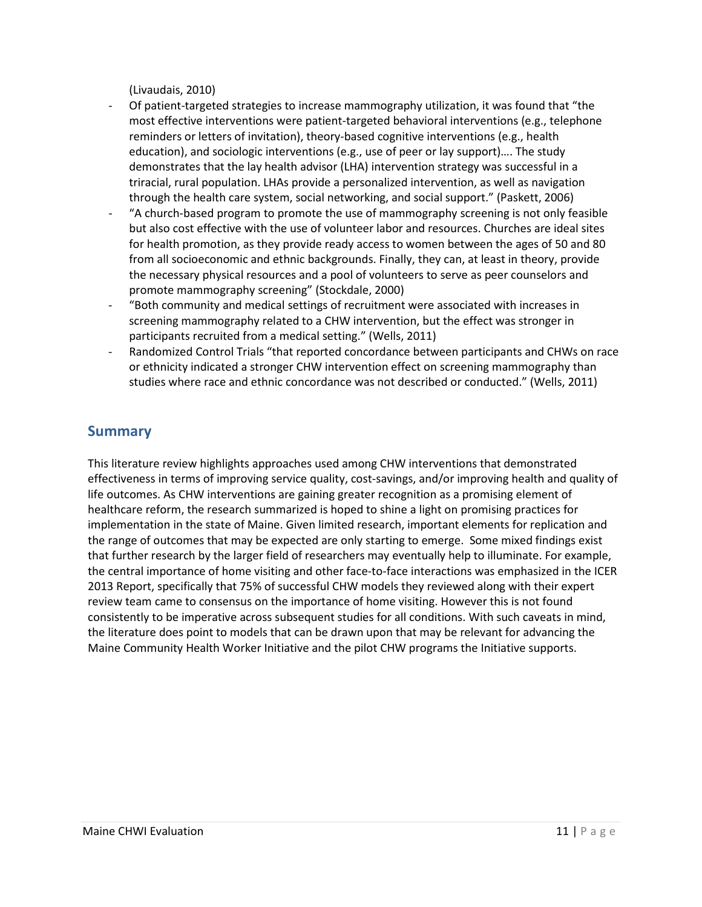(Livaudais, 2010)

- Of patient-targeted strategies to increase mammography utilization, it was found that "the most effective interventions were patient-targeted behavioral interventions (e.g., telephone reminders or letters of invitation), theory-based cognitive interventions (e.g., health education), and sociologic interventions (e.g., use of peer or lay support)…. The study demonstrates that the lay health advisor (LHA) intervention strategy was successful in a triracial, rural population. LHAs provide a personalized intervention, as well as navigation through the health care system, social networking, and social support." (Paskett, 2006)
- "A church-based program to promote the use of mammography screening is not only feasible but also cost effective with the use of volunteer labor and resources. Churches are ideal sites for health promotion, as they provide ready access to women between the ages of 50 and 80 from all socioeconomic and ethnic backgrounds. Finally, they can, at least in theory, provide the necessary physical resources and a pool of volunteers to serve as peer counselors and promote mammography screening" (Stockdale, 2000)
- "Both community and medical settings of recruitment were associated with increases in screening mammography related to a CHW intervention, but the effect was stronger in participants recruited from a medical setting." (Wells, 2011)
- Randomized Control Trials "that reported concordance between participants and CHWs on race or ethnicity indicated a stronger CHW intervention effect on screening mammography than studies where race and ethnic concordance was not described or conducted." (Wells, 2011)

#### **Summary**

This literature review highlights approaches used among CHW interventions that demonstrated effectiveness in terms of improving service quality, cost-savings, and/or improving health and quality of life outcomes. As CHW interventions are gaining greater recognition as a promising element of healthcare reform, the research summarized is hoped to shine a light on promising practices for implementation in the state of Maine. Given limited research, important elements for replication and the range of outcomes that may be expected are only starting to emerge. Some mixed findings exist that further research by the larger field of researchers may eventually help to illuminate. For example, the central importance of home visiting and other face-to-face interactions was emphasized in the ICER 2013 Report, specifically that 75% of successful CHW models they reviewed along with their expert review team came to consensus on the importance of home visiting. However this is not found consistently to be imperative across subsequent studies for all conditions. With such caveats in mind, the literature does point to models that can be drawn upon that may be relevant for advancing the Maine Community Health Worker Initiative and the pilot CHW programs the Initiative supports.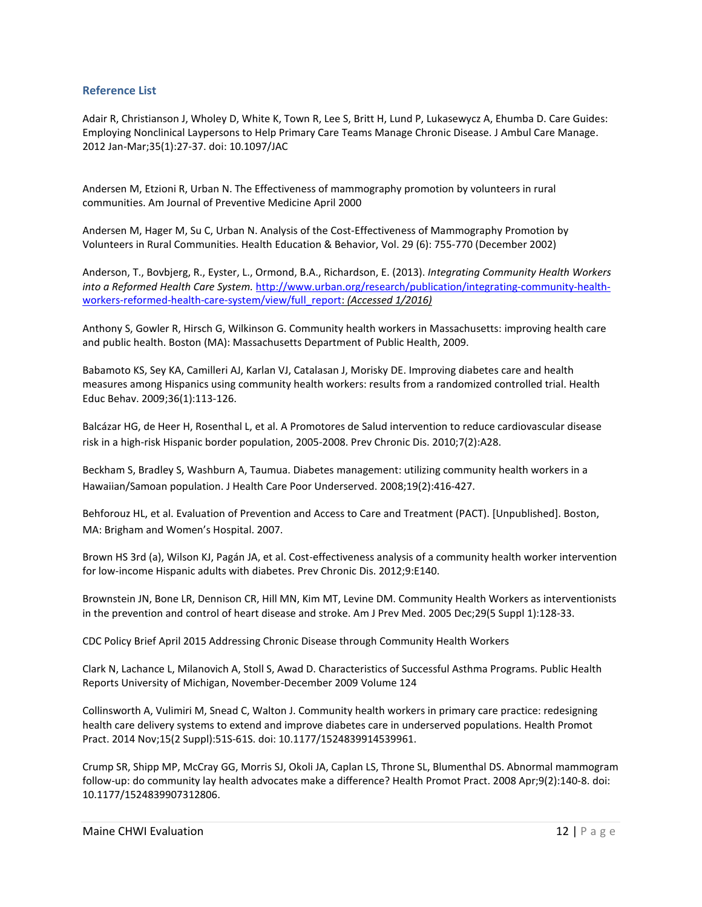#### **Reference List**

Adair R, Christianson J, Wholey D, White K, Town R, Lee S, Britt H, Lund P, Lukasewycz A, Ehumba D. Care Guides: Employing Nonclinical Laypersons to Help Primary Care Teams Manage Chronic Disease. J Ambul Care Manage. 2012 Jan-Mar;35(1):27-37. doi: 10.1097/JAC

Andersen M, Etzioni R, Urban N. The Effectiveness of mammography promotion by volunteers in rural communities. Am Journal of Preventive Medicine April 2000

Andersen M, Hager M, Su C, Urban N. Analysis of the Cost-Effectiveness of Mammography Promotion by Volunteers in Rural Communities. Health Education & Behavior, Vol. 29 (6): 755-770 (December 2002)

Anderson, T., Bovbjerg, R., Eyster, L., Ormond, B.A., Richardson, E. (2013). *Integrating Community Health Workers into a Reformed Health Care System.* [http://www.urban.org/research/publication/integrating-community-health](http://www.urban.org/research/publication/integrating-community-health-workers-reformed-health-care-system/view/full_report)[workers-reformed-health-care-system/view/full\\_report:](http://www.urban.org/research/publication/integrating-community-health-workers-reformed-health-care-system/view/full_report) *(Accessed 1/2016)*

Anthony S, Gowler R, Hirsch G, Wilkinson G. Community health workers in Massachusetts: improving health care and public health. Boston (MA): Massachusetts Department of Public Health, 2009.

Babamoto KS, Sey KA, Camilleri AJ, Karlan VJ, Catalasan J, Morisky DE. Improving diabetes care and health measures among Hispanics using community health workers: results from a randomized controlled trial. Health Educ Behav. 2009;36(1):113-126.

Balcázar HG, de Heer H, Rosenthal L, et al. A Promotores de Salud intervention to reduce cardiovascular disease risk in a high-risk Hispanic border population, 2005-2008. Prev Chronic Dis. 2010;7(2):A28.

Beckham S, Bradley S, Washburn A, Taumua. Diabetes management: utilizing community health workers in a Hawaiian/Samoan population. J Health Care Poor Underserved. 2008;19(2):416-427.

Behforouz HL, et al. Evaluation of Prevention and Access to Care and Treatment (PACT). [Unpublished]. Boston, MA: Brigham and Women's Hospital. 2007.

Brown HS 3rd (a), Wilson KJ, Pagán JA, et al. Cost-effectiveness analysis of a community health worker intervention for low-income Hispanic adults with diabetes. Prev Chronic Dis. 2012;9:E140.

Brownstein JN, Bone LR, Dennison CR, Hill MN, Kim MT, Levine DM. Community Health Workers as interventionists in the prevention and control of heart disease and stroke. Am J Prev Med. 2005 Dec;29(5 Suppl 1):128-33.

CDC Policy Brief April 2015 Addressing Chronic Disease through Community Health Workers

Clark N, Lachance L, Milanovich A, Stoll S, Awad D. Characteristics of Successful Asthma Programs. Public Health Reports University of Michigan, November-December 2009 Volume 124

Collinsworth A, Vulimiri M, Snead C, Walton J. Community health workers in primary care practice: redesigning health care delivery systems to extend and improve diabetes care in underserved populations. Health Promot Pract. 2014 Nov;15(2 Suppl):51S-61S. doi: 10.1177/1524839914539961.

Crump SR, Shipp MP, McCray GG, Morris SJ, Okoli JA, Caplan LS, Throne SL, Blumenthal DS. Abnormal mammogram follow-up: do community lay health advocates make a difference? Health Promot Pract. 2008 Apr;9(2):140-8. doi: 10.1177/1524839907312806.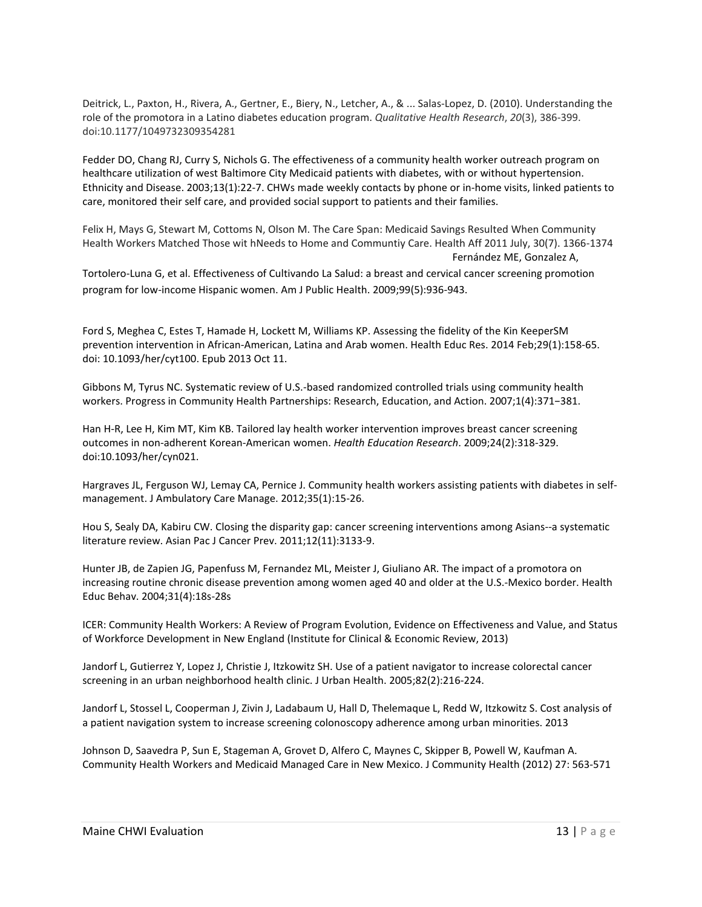Deitrick, L., Paxton, H., Rivera, A., Gertner, E., Biery, N., Letcher, A., & ... Salas-Lopez, D. (2010). Understanding the role of the promotora in a Latino diabetes education program. *Qualitative Health Research*, *20*(3), 386-399. doi:10.1177/1049732309354281

Fedder DO, Chang RJ, Curry S, Nichols G. The effectiveness of a community health worker outreach program on healthcare utilization of west Baltimore City Medicaid patients with diabetes, with or without hypertension. Ethnicity and Disease. 2003;13(1):22-7. CHWs made weekly contacts by phone or in-home visits, linked patients to care, monitored their self care, and provided social support to patients and their families.

Felix H, Mays G, Stewart M, Cottoms N, Olson M. The Care Span: Medicaid Savings Resulted When Community Health Workers Matched Those wit hNeeds to Home and Communtiy Care. Health Aff 2011 July, 30(7). 1366-1374 Fernández ME, Gonzalez A,

Tortolero-Luna G, et al. Effectiveness of Cultivando La Salud: a breast and cervical cancer screening promotion program for low-income Hispanic women. Am J Public Health. 2009;99(5):936-943.

Ford S, Meghea C, Estes T, Hamade H, Lockett M, Williams KP. Assessing the fidelity of the Kin KeeperSM prevention intervention in African-American, Latina and Arab women. Health Educ Res. 2014 Feb;29(1):158-65. doi: 10.1093/her/cyt100. Epub 2013 Oct 11.

Gibbons M, Tyrus NC. Systematic review of U.S.-based randomized controlled trials using community health workers. Progress in Community Health Partnerships: Research, Education, and Action. 2007;1(4):371−381.

Han H-R, Lee H, Kim MT, Kim KB. Tailored lay health worker intervention improves breast cancer screening outcomes in non-adherent Korean-American women. *Health Education Research*. 2009;24(2):318-329. doi:10.1093/her/cyn021.

Hargraves JL, Ferguson WJ, Lemay CA, Pernice J. Community health workers assisting patients with diabetes in selfmanagement. J Ambulatory Care Manage. 2012;35(1):15-26.

Hou S, Sealy DA, Kabiru CW. Closing the disparity gap: cancer screening interventions among Asians--a systematic literature review. Asian Pac J Cancer Prev. 2011;12(11):3133-9.

Hunter JB, de Zapien JG, Papenfuss M, Fernandez ML, Meister J, Giuliano AR. The impact of a promotora on increasing routine chronic disease prevention among women aged 40 and older at the U.S.-Mexico border. Health Educ Behav. 2004;31(4):18s-28s

ICER: Community Health Workers: A Review of Program Evolution, Evidence on Effectiveness and Value, and Status of Workforce Development in New England (Institute for Clinical & Economic Review, 2013)

Jandorf L, Gutierrez Y, Lopez J, Christie J, Itzkowitz SH. Use of a patient navigator to increase colorectal cancer screening in an urban neighborhood health clinic. J Urban Health. 2005;82(2):216-224.

Jandorf L, Stossel L, Cooperman J, Zivin J, Ladabaum U, Hall D, Thelemaque L, Redd W, Itzkowitz S. Cost analysis of a patient navigation system to increase screening colonoscopy adherence among urban minorities. 2013

Johnson D, Saavedra P, Sun E, Stageman A, Grovet D, Alfero C, Maynes C, Skipper B, Powell W, Kaufman A. Community Health Workers and Medicaid Managed Care in New Mexico. J Community Health (2012) 27: 563-571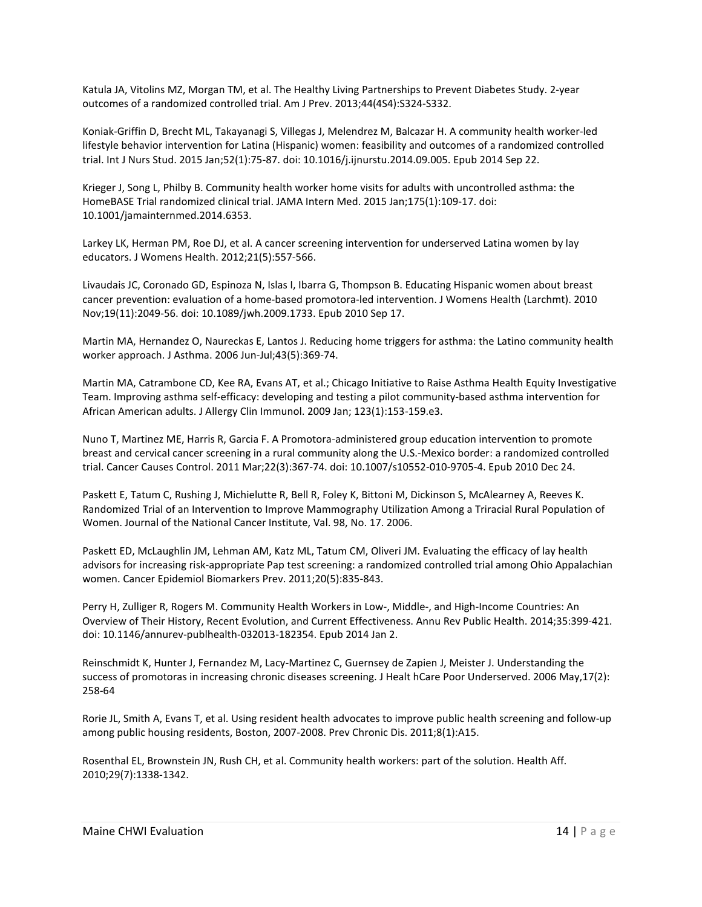Katula JA, Vitolins MZ, Morgan TM, et al. The Healthy Living Partnerships to Prevent Diabetes Study. 2-year outcomes of a randomized controlled trial. Am J Prev. 2013;44(4S4):S324-S332.

Koniak-Griffin D, Brecht ML, Takayanagi S, Villegas J, Melendrez M, Balcazar H. A community health worker-led lifestyle behavior intervention for Latina (Hispanic) women: feasibility and outcomes of a randomized controlled trial. Int J Nurs Stud. 2015 Jan;52(1):75-87. doi: 10.1016/j.ijnurstu.2014.09.005. Epub 2014 Sep 22.

Krieger J, Song L, Philby B. Community health worker home visits for adults with uncontrolled asthma: the HomeBASE Trial randomized clinical trial. JAMA Intern Med. 2015 Jan;175(1):109-17. doi: 10.1001/jamainternmed.2014.6353.

Larkey LK, Herman PM, Roe DJ, et al. A cancer screening intervention for underserved Latina women by lay educators. J Womens Health. 2012;21(5):557-566.

Livaudais JC, Coronado GD, Espinoza N, Islas I, Ibarra G, Thompson B. Educating Hispanic women about breast cancer prevention: evaluation of a home-based promotora-led intervention. J Womens Health (Larchmt). 2010 Nov;19(11):2049-56. doi: 10.1089/jwh.2009.1733. Epub 2010 Sep 17.

Martin MA, Hernandez O, Naureckas E, Lantos J. Reducing home triggers for asthma: the Latino community health worker approach. J Asthma. 2006 Jun-Jul;43(5):369-74.

Martin MA, Catrambone CD, Kee RA, Evans AT, et al.; Chicago Initiative to Raise Asthma Health Equity Investigative Team. Improving asthma self-efficacy: developing and testing a pilot community-based asthma intervention for African American adults. J Allergy Clin Immunol. 2009 Jan; 123(1):153-159.e3.

Nuno T, Martinez ME, Harris R, Garcia F. A Promotora-administered group education intervention to promote breast and cervical cancer screening in a rural community along the U.S.-Mexico border: a randomized controlled trial. Cancer Causes Control. 2011 Mar;22(3):367-74. doi: 10.1007/s10552-010-9705-4. Epub 2010 Dec 24.

Paskett E, Tatum C, Rushing J, Michielutte R, Bell R, Foley K, Bittoni M, Dickinson S, McAlearney A, Reeves K. Randomized Trial of an Intervention to Improve Mammography Utilization Among a Triracial Rural Population of Women. Journal of the National Cancer Institute, Val. 98, No. 17. 2006.

Paskett ED, McLaughlin JM, Lehman AM, Katz ML, Tatum CM, Oliveri JM. Evaluating the efficacy of lay health advisors for increasing risk-appropriate Pap test screening: a randomized controlled trial among Ohio Appalachian women. Cancer Epidemiol Biomarkers Prev. 2011;20(5):835-843.

Perry H, Zulliger R, Rogers M. Community Health Workers in Low-, Middle-, and High-Income Countries: An Overview of Their History, Recent Evolution, and Current Effectiveness. Annu Rev Public Health. 2014;35:399-421. doi: 10.1146/annurev-publhealth-032013-182354. Epub 2014 Jan 2.

Reinschmidt K, Hunter J, Fernandez M, Lacy-Martinez C, Guernsey de Zapien J, Meister J. Understanding the success of promotoras in increasing chronic diseases screening. J Healt hCare Poor Underserved. 2006 May,17(2): 258-64

Rorie JL, Smith A, Evans T, et al. Using resident health advocates to improve public health screening and follow-up among public housing residents, Boston, 2007-2008. Prev Chronic Dis. 2011;8(1):A15.

Rosenthal EL, Brownstein JN, Rush CH, et al. Community health workers: part of the solution. Health Aff. 2010;29(7):1338-1342.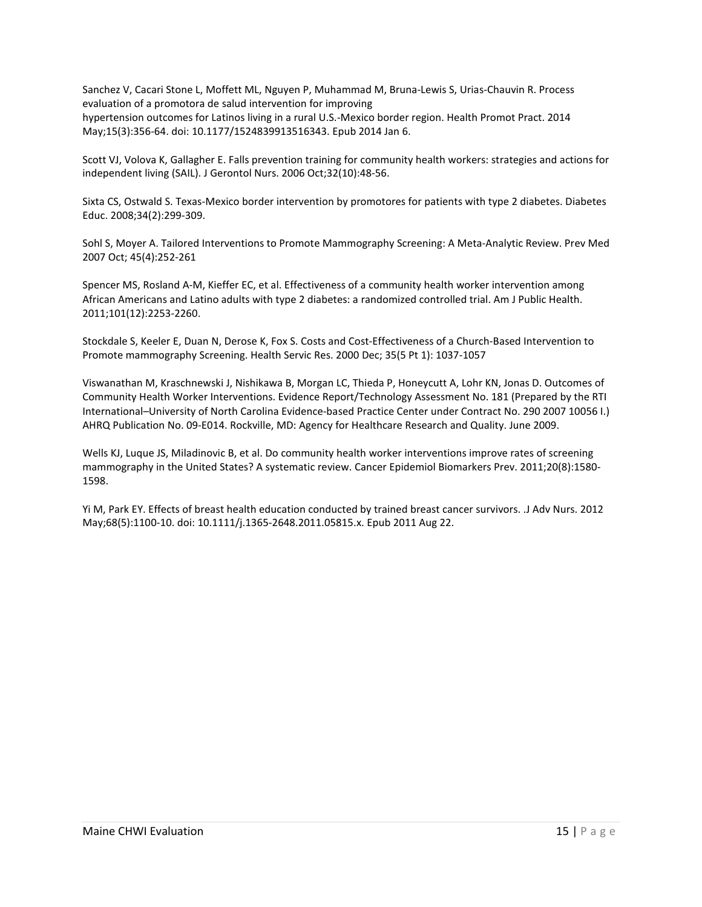Sanchez V, Cacari Stone L, Moffett ML, Nguyen P, Muhammad M, Bruna-Lewis S, Urias-Chauvin R. Process evaluation of a promotora de salud intervention for improving hypertension outcomes for Latinos living in a rural U.S.-Mexico border region. Health Promot Pract. 2014 May;15(3):356-64. doi: 10.1177/1524839913516343. Epub 2014 Jan 6.

Scott VJ, Volova K, Gallagher E. Falls prevention training for community health workers: strategies and actions for independent living (SAIL). J Gerontol Nurs. 2006 Oct;32(10):48-56.

Sixta CS, Ostwald S. Texas-Mexico border intervention by promotores for patients with type 2 diabetes. Diabetes Educ. 2008;34(2):299-309.

Sohl S, Moyer A. Tailored Interventions to Promote Mammography Screening: A Meta-Analytic Review. Prev Med 2007 Oct; 45(4):252-261

Spencer MS, Rosland A-M, Kieffer EC, et al. Effectiveness of a community health worker intervention among African Americans and Latino adults with type 2 diabetes: a randomized controlled trial. Am J Public Health. 2011;101(12):2253-2260.

Stockdale S, Keeler E, Duan N, Derose K, Fox S. Costs and Cost-Effectiveness of a Church-Based Intervention to Promote mammography Screening. Health Servic Res. 2000 Dec; 35(5 Pt 1): 1037-1057

Viswanathan M, Kraschnewski J, Nishikawa B, Morgan LC, Thieda P, Honeycutt A, Lohr KN, Jonas D. Outcomes of Community Health Worker Interventions. Evidence Report/Technology Assessment No. 181 (Prepared by the RTI International–University of North Carolina Evidence-based Practice Center under Contract No. 290 2007 10056 I.) AHRQ Publication No. 09-E014. Rockville, MD: Agency for Healthcare Research and Quality. June 2009.

Wells KJ, Luque JS, Miladinovic B, et al. Do community health worker interventions improve rates of screening mammography in the United States? A systematic review. Cancer Epidemiol Biomarkers Prev. 2011;20(8):1580- 1598.

Yi M, Park EY. Effects of breast health education conducted by trained breast cancer survivors. .J Adv Nurs. 2012 May;68(5):1100-10. doi: 10.1111/j.1365-2648.2011.05815.x. Epub 2011 Aug 22.